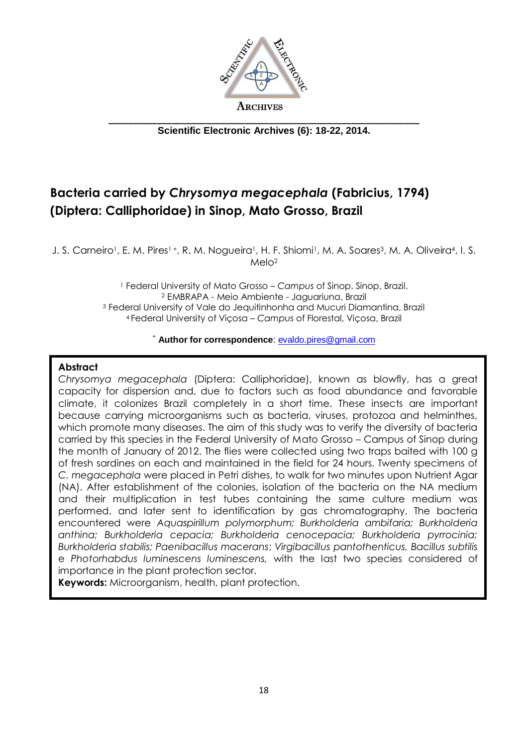

**Scientific Electronic Archives (6): 18-22, 2014.**

# **Bacteria carried by** *Chrysomya megacephala* **(Fabricius, 1794) (Diptera: Calliphoridae) in Sinop, Mato Grosso, Brazil**

J. S. Carneiro<sup>1</sup>, E. M. Pires<sup>1+</sup>, R. M. Nogueira<sup>1</sup>, H. F. Shiomi<sup>1</sup>, M. A. Soares<sup>3</sup>, M. A. Oliveira<sup>4</sup>, I. S.  $Mel<sub>0</sub><sup>2</sup>$ 

> Federal University of Mato Grosso – *Campus* of Sinop, Sinop, Brazil. EMBRAPA - Meio Ambiente - Jaguariuna, Brazil Federal University of Vale do Jequitinhonha and Mucuri Diamantina, Brazil Federal University of Viçosa – *Campus* of Florestal, Viçosa, Brazil

#### <sup>+</sup> **Author for correspondence**: [evaldo.pires@gmail.com](mailto:evaldo.pires@gmail.com)

#### **Abstract**

*Chrysomya megacephala* (Diptera: Calliphoridae), known as blowfly, has a great capacity for dispersion and, due to factors such as food abundance and favorable climate, it colonizes Brazil completely in a short time. These insects are important because carrying microorganisms such as bacteria, viruses, protozoa and helminthes, which promote many diseases. The aim of this study was to verify the diversity of bacteria carried by this species in the Federal University of Mato Grosso – Campus of Sinop during the month of January of 2012. The flies were collected using two traps baited with 100 g of fresh sardines on each and maintained in the field for 24 hours. Twenty specimens of *C. megacephala* were placed in Petri dishes, to walk for two minutes upon Nutrient Agar (NA). After establishment of the colonies, isolation of the bacteria on the NA medium and their multiplication in test tubes containing the same culture medium was performed, and later sent to identification by gas chromatography. The bacteria encountered were *Aquaspirillum polymorphum; Burkholderia ambifaria; Burkholderia anthina; Burkholderia cepacia; Burkholderia cenocepacia; Burkholderia pyrrocinia; Burkholderia stabilis; Paenibacillus macerans*; *Virgibacillus pantothenticus, Bacillus subtilis*  e *Photorhabdus luminescens luminescens,* with the last two species considered of importance in the plant protection sector.

**Keywords:** Microorganism, health, plant protection.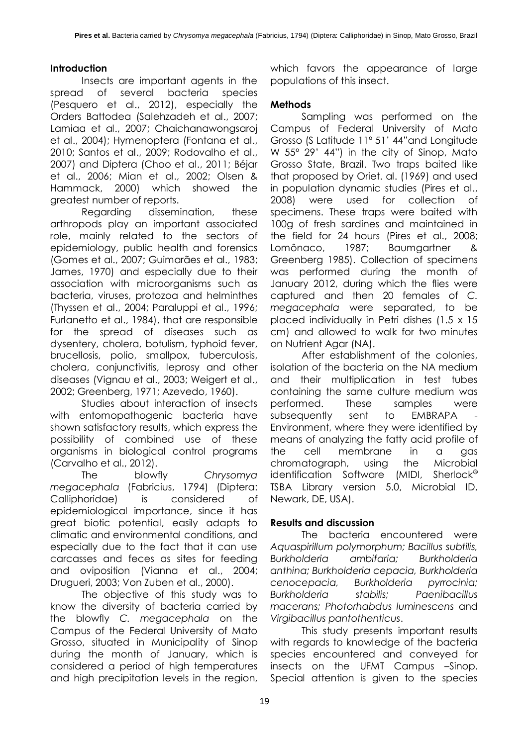## **Introduction**

Insects are important agents in the spread of several bacteria species (Pesquero et al., 2012), especially the Orders Battodea (Salehzadeh et al., 2007; Lamiaa et al., 2007; Chaichanawongsaroj et al., 2004); Hymenoptera (Fontana et al., 2010; Santos et al., 2009; Rodovalho et al., 2007) and Diptera (Choo et al., 2011; Béjar et al., 2006; Mian et al., 2002; Olsen & Hammack, 2000) which showed the greatest number of reports.

Regarding dissemination, these arthropods play an important associated role, mainly related to the sectors of epidemiology, public health and forensics (Gomes et al., 2007; Guimarães et al., 1983; James, 1970) and especially due to their association with microorganisms such as bacteria, viruses, protozoa and helminthes (Thyssen et al., 2004; Paraluppi et al., 1996; Furlanetto et al., 1984), that are responsible for the spread of diseases such as dysentery, cholera, botulism, typhoid fever, brucellosis, polio, smallpox, tuberculosis, cholera, conjunctivitis, leprosy and other diseases (Vignau et al., 2003; Weigert et al., 2002; Greenberg, 1971; Azevedo, 1960).

Studies about interaction of insects with entomopathogenic bacteria have shown satisfactory results, which express the possibility of combined use of these organisms in biological control programs (Carvalho et al., 2012).

The blowfly *Chrysomya megacephala* (Fabricius, 1794) (Diptera: Calliphoridae) is considered of epidemiological importance, since it has great biotic potential, easily adapts to climatic and environmental conditions, and especially due to the fact that it can use carcasses and feces as sites for feeding and oviposition (Vianna et al., 2004; Drugueri, 2003; Von Zuben et al., 2000).

The objective of this study was to know the diversity of bacteria carried by the blowfly *C. megacephala* on the Campus of the Federal University of Mato Grosso, situated in Municipality of Sinop during the month of January, which is considered a period of high temperatures and high precipitation levels in the region,

which favors the appearance of large populations of this insect.

#### **Methods**

Sampling was performed on the Campus of Federal University of Mato Grosso (S Latitude 11º 51' 44"and Longitude W 55º 29' 44") in the city of Sinop, Mato Grosso State, Brazil. Two traps baited like that proposed by Oriet. al. (1969) and used in population dynamic studies (Pires et al., 2008) were used for collection of specimens. These traps were baited with 100g of fresh sardines and maintained in the field for 24 hours (Pires et al., 2008; Lomônaco, 1987; Baumgartner & Greenberg 1985). Collection of specimens was performed during the month of January 2012, during which the flies were captured and then 20 females of *C. megacephala* were separated, to be placed individually in Petri dishes (1.5 x 15 cm) and allowed to walk for two minutes on Nutrient Agar (NA).

After establishment of the colonies, isolation of the bacteria on the NA medium and their multiplication in test tubes containing the same culture medium was performed. These samples were subsequently sent to EMBRAPA Environment, where they were identified by means of analyzing the fatty acid profile of the cell membrane in a gas chromatograph, using the Microbial identification Software (MIDI, Sherlock<sup>®</sup> TSBA Library version 5.0, Microbial ID, Newark, DE, USA).

## **Results and discussion**

The bacteria encountered were *Aquaspirillum polymorphum; Bacillus subtilis, Burkholderia ambifaria; Burkholderia anthina; Burkholderia cepacia, Burkholderia cenocepacia, Burkholderia pyrrocinia; Burkholderia stabilis; Paenibacillus macerans; Photorhabdus luminescens* and *Virgibacillus pantothenticus*.

This study presents important results with regards to knowledge of the bacteria species encountered and conveyed for insects on the UFMT Campus –Sinop. Special attention is given to the species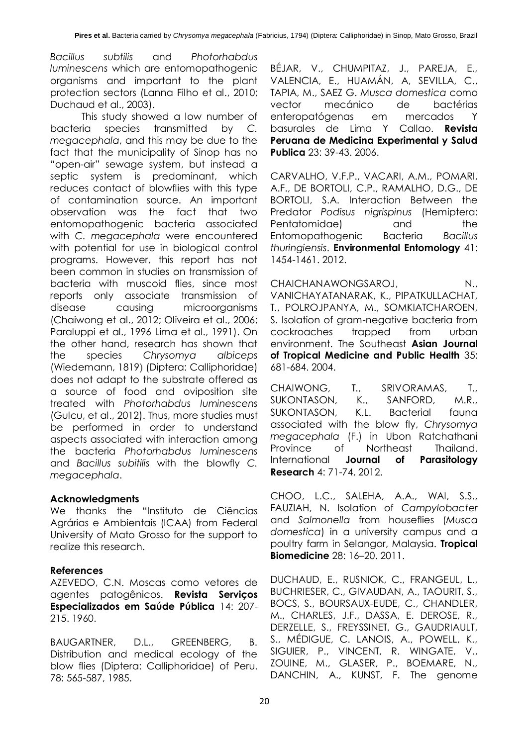*Bacillus subtilis* and *Photorhabdus luminescens* which are entomopathogenic organisms and important to the plant protection sectors (Lanna Filho et al., 2010; Duchaud et al., 2003).

This study showed a low number of bacteria species transmitted by *C. megacephala*, and this may be due to the fact that the municipality of Sinop has no "open-air" sewage system, but instead a septic system is predominant, which reduces contact of blowflies with this type of contamination source. An important observation was the fact that two entomopathogenic bacteria associated with *C. megacephala* were encountered with potential for use in biological control programs. However, this report has not been common in studies on transmission of bacteria with muscoid flies, since most reports only associate transmission of disease causing microorganisms (Chaiwong et al., 2012; Oliveira et al., 2006; Paraluppi et al., 1996 Lima et al., 1991). On the other hand, research has shown that the species *Chrysomya albiceps* (Wiedemann, 1819) (Diptera: Calliphoridae) does not adapt to the substrate offered as a source of food and oviposition site treated with *Photorhabdus luminescens* (Gulcu, et al., 2012). Thus, more studies must be performed in order to understand aspects associated with interaction among the bacteria *Photorhabdus luminescens* and *Bacillus subitilis* with the blowfly *C. megacephala*.

## **Acknowledgments**

We thanks the "Instituto de Ciências Agrárias e Ambientais (ICAA) from Federal University of Mato Grosso for the support to realize this research.

## **References**

AZEVEDO, C.N. Moscas como vetores de agentes patogênicos. **Revista Serviços Especializados em Saúde Pública** 14: 207- 215. 1960.

BAUGARTNER, D.L., GREENBERG, B. Distribution and medical ecology of the blow flies (Diptera: Calliphoridae) of Peru. 78: 565-587, 1985.

BÉJAR, V., CHUMPITAZ, J., PAREJA, E., VALENCIA, E., HUAMÁN, A, SEVILLA, C., TAPIA, M., SAEZ G. *Musca domestica* como vector mecánico de bactérias enteropatógenas em mercados Y basurales de Lima Y Callao. **Revista Peruana de Medicina Experimental y Salud Publica** 23: 39-43. 2006.

CARVALHO, V.F.P., VACARI, A.M., POMARI, A.F., DE BORTOLI, C.P., RAMALHO, D.G., DE BORTOLI, S.A. Interaction Between the Predator *Podisus nigrispinus* (Hemiptera: Pentatomidae) and the Entomopathogenic Bacteria *Bacillus thuringiensis*. **Environmental Entomology** 41: 1454-1461. 2012.

CHAICHANAWONGSAROJ, N., VANICHAYATANARAK, K., PIPATKULLACHAT, T., POLROJPANYA, M., SOMKIATCHAROEN, S. Isolation of gram-negative bacteria from cockroaches trapped from urban environment. The Southeast **Asian Journal of Tropical Medicine and Public Health** 35: 681-684. 2004.

CHAIWONG, T., SRIVORAMAS, T., SUKONTASON, K., SANFORD, M.R., SUKONTASON, K.L. Bacterial fauna associated with the blow fly, *Chrysomya megacephala* (F.) in Ubon Ratchathani Province of Northeast Thailand. International **Journal of Parasitology Research** 4: 71-74, 2012.

CHOO, L.C., SALEHA, A.A., WAI, S.S., FAUZIAH, N. Isolation of *Campylobacter*  and *Salmonella* from houseflies (*Musca domestica*) in a university campus and a poultry farm in Selangor, Malaysia. **Tropical Biomedicine** 28: 16–20. 2011.

DUCHAUD, E., RUSNIOK, C., FRANGEUL, L., BUCHRIESER, C., GIVAUDAN, A., TAOURIT, S., BOCS, S., BOURSAUX-EUDE, C., CHANDLER, M., CHARLES, J.F., DASSA, E. DEROSE, R., DERZELLE, S., FREYSSINET, G., GAUDRIAULT, S., MÉDIGUE, C. LANOIS, A., POWELL, K., SIGUIER, P., VINCENT, R. WINGATE, V., ZOUINE, M., GLASER, P., BOEMARE, N., DANCHIN, A., KUNST, F. The genome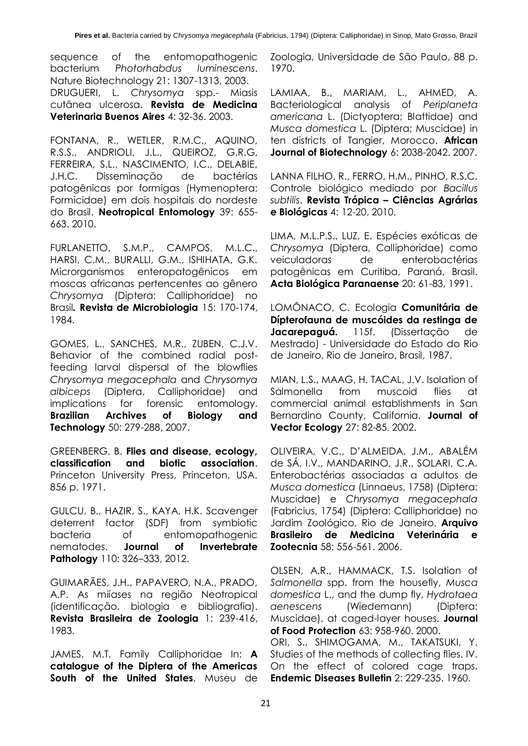sequence of the entomopathogenic bacterium *Photorhabdus luminescens*. Nature Biotechnology 21: 1307-1313, 2003. DRUGUERI, L. *Chrysomya* spp.- Miasis cutânea ulcerosa. **Revista de Medicina** 

**Veterinaria Buenos Aires** 4: 32-36. 2003.

FONTANA, R., WETLER, R.M.C., AQUINO, R.S.S., ANDRIOLI, J.L., QUEIROZ, G.R.G, FERREIRA, S.L., NASCIMENTO, I.C., DELABIE, J.H.C. Disseminação de bactérias patogênicas por formigas (Hymenoptera: Formicidae) em dois hospitais do nordeste do Brasil. **Neotropical Entomology** 39: 655- 663. 2010.

FURLANETTO, S.M.P., CAMPOS, M.L.C., HARSI, C.M., BURALLI, G.M., ISHIHATA, G.K. Microrganismos enteropatogênicos em moscas africanas pertencentes ao gênero *Chrysomya* (Diptera: Calliphoridae) no Brasil*.* **Revista de Microbiologia** 15: 170-174, 1984.

GOMES, L., SANCHES, M.R., ZUBEN, C.J.V. Behavior of the combined radial postfeeding larval dispersal of the blowflies *Chrysomya megacephala* and *Chrysomya albiceps* (Diptera, Calliphoridae) and implications for forensic entomology. **Brazilian Archives of Biology and Technology** 50: 279-288, 2007.

GREENBERG, B. **Flies and disease, ecology, classification and biotic association**. Princeton University Press, Princeton, USA. 856 p. 1971.

GULCU, B., HAZIR, S., KAYA, H.K. Scavenger deterrent factor (SDF) from symbiotic bacteria of entomopathogenic nematodes. **Journal of Invertebrate Pathology** 110: 326–333, 2012.

GUIMARÃES, J.H., PAPAVERO, N.A., PRADO, A.P. As miíases na região Neotropical (identificação, biologia e bibliografia). **Revista Brasileira de Zoologia** 1: 239*-*416, 1983.

JAMES, M.T. Family Calliphoridae In: **A catalogue of the Diptera of the Americas South of the United States**, Museu de Zoologia, Universidade de São Paulo, 88 p. 1970.

LAMIAA, B., MARIAM, L., AHMED, A. Bacteriological analysis of *Periplaneta americana* L. (Dictyoptera; Blattidae) and *Musca domestica* L. (Diptera; Muscidae) in ten districts of Tangier, Morocco. **African Journal of Biotechnology** 6: 2038-2042. 2007.

LANNA FILHO, R., FERRO, H.M., PINHO, R.S.C. Controle biológico mediado por *Bacillus subtilis*. **Revista Trópica – Ciências Agrárias e Biológicas** 4: 12-20, 2010.

LIMA, M.L.P.S., LUZ, E. Espécies exóticas de *Chrysomya* (Diptera, Calliphoridae) como veiculadoras de enterobactérias patogênicas em Curitiba, Paraná, Brasil. **Acta Biológica Paranaense** 20: 61-83, 1991.

LOMÔNACO, C. Ecologia **Comunitária de Dípterofauna de muscóides da restinga de Jacarepaguá.** 115f. (Dissertação de Mestrado) - Universidade do Estado do Rio de Janeiro, Rio de Janeiro, Brasil, 1987.

MIAN, L.S., MAAG, H. TACAL, J.V. Isolation of Salmonella from muscoid flies at commercial animal establishments in San Bernardino County, California. **Journal of Vector Ecology** 27: 82-85. 2002.

OLIVEIRA, V.C., D'ALMEIDA, J.M., ABALÉM de SÁ, I.V., MANDARINO, J.R., SOLARI, C.A. Enterobactérias associadas a adultos de *Musca domestica* (Linnaeus, 1758) (Diptera: Muscidae) e *Chrysomya megacephala* (Fabricius, 1754) (Diptera: Calliphoridae) no Jardim Zoológico, Rio de Janeiro. **Arquivo Brasileiro de Medicina Veterinária e Zootecnia** 58: 556-561. 2006.

OLSEN, A.R., HAMMACK, T.S. Isolation of *Salmonella* spp. from the housefly, *Musca domestica* L., and the dump fly, *Hydrotaea aenescens* (Wiedemann) (Diptera: Muscidae), at caged-layer houses. **Journal of Food Protection** 63: 958-960. 2000.

ORI, S., SHIMOGAMA, M., TAKATSUKI, Y. Studies of the methods of collecting flies. IV. On the effect of colored cage traps. **Endemic Diseases Bulletin** 2: 229-235. 1960.